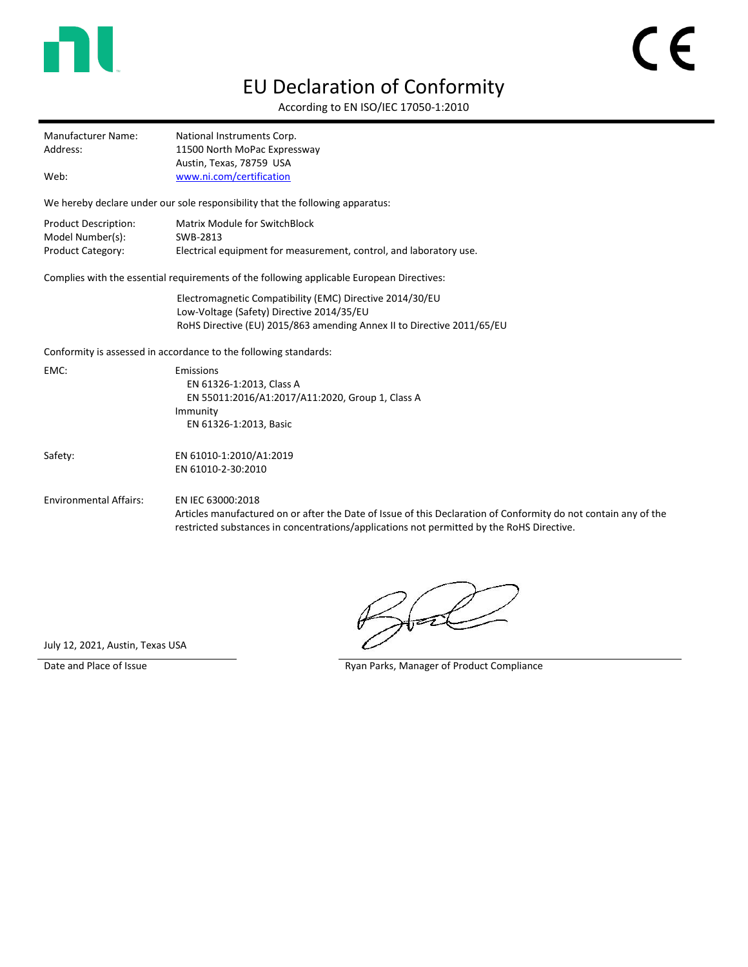

## EU Declaration of Conformity

According to EN ISO/IEC 17050-1:2010

| Manufacturer Name: | National Instruments Corp.                               |
|--------------------|----------------------------------------------------------|
| Address:           | 11500 North MoPac Expressway<br>Austin, Texas, 78759 USA |
| Web:               | www.ni.com/certification                                 |

We hereby declare under our sole responsibility that the following apparatus:

| Product Description:     | Matrix Module for SwitchBlock                                      |
|--------------------------|--------------------------------------------------------------------|
| Model Number(s):         | SWB-2813                                                           |
| <b>Product Category:</b> | Electrical equipment for measurement, control, and laboratory use. |

Complies with the essential requirements of the following applicable European Directives:

Electromagnetic Compatibility (EMC) Directive 2014/30/EU Low-Voltage (Safety) Directive 2014/35/EU RoHS Directive (EU) 2015/863 amending Annex II to Directive 2011/65/EU

Conformity is assessed in accordance to the following standards:

|  | EMC:                          | Emissions<br>EN 61326-1:2013, Class A<br>EN 55011:2016/A1:2017/A11:2020, Group 1, Class A<br>Immunity                                                                                                                             |
|--|-------------------------------|-----------------------------------------------------------------------------------------------------------------------------------------------------------------------------------------------------------------------------------|
|  |                               | EN 61326-1:2013, Basic                                                                                                                                                                                                            |
|  | Safety:                       | EN 61010-1:2010/A1:2019<br>EN 61010-2-30:2010                                                                                                                                                                                     |
|  | <b>Environmental Affairs:</b> | EN IEC 63000:2018<br>Articles manufactured on or after the Date of Issue of this Declaration of Conformity do not contain any of the<br>restricted substances in concentrations/applications not permitted by the RoHS Directive. |

t T

July 12, 2021, Austin, Texas USA

Date and Place of Issue **Ryan Parks, Manager of Product Compliance**